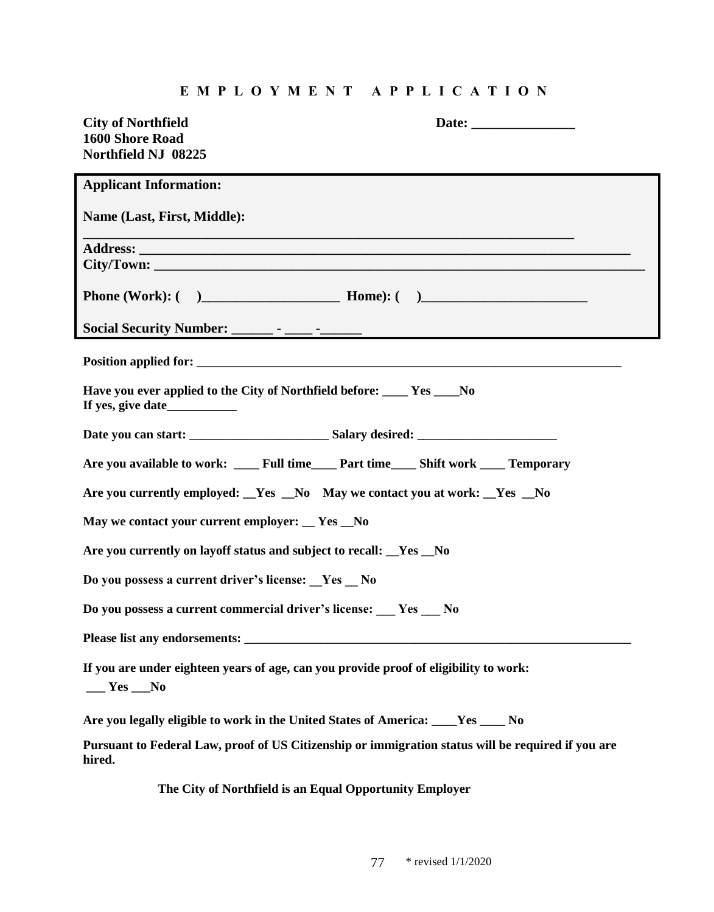# **E M P L O Y M E N T A P P L I C A T I O N**

### **City of Northfield Date: \_\_\_\_\_\_\_\_\_\_\_\_\_\_\_ 1600 Shore Road Northfield NJ 08225**

| 11101U 1 10                                                                                                    |
|----------------------------------------------------------------------------------------------------------------|
| <b>Applicant Information:</b>                                                                                  |
| Name (Last, First, Middle):                                                                                    |
|                                                                                                                |
|                                                                                                                |
|                                                                                                                |
|                                                                                                                |
|                                                                                                                |
| Have you ever applied to the City of Northfield before: ____ Yes ____No                                        |
|                                                                                                                |
| Are you available to work: ____ Full time____ Part time____ Shift work ____ Temporary                          |
| Are you currently employed: Yes No May we contact you at work: Yes No                                          |
| May we contact your current employer: _ Yes _No                                                                |
| Are you currently on layoff status and subject to recall: Ves No                                               |
| Do you possess a current driver's license: _Yes _No                                                            |
| Do you possess a current commercial driver's license: Ves __ No                                                |
|                                                                                                                |
| If you are under eighteen years of age, can you provide proof of eligibility to work:<br>$\_\_\_\$ Yes $\_\_\$ |
| Are you legally eligible to work in the United States of America: ___Yes ___ No                                |
| Pursuant to Federal Law, proof of US Citizenship or immigration status will be required if you are<br>hired.   |

 **The City of Northfield is an Equal Opportunity Employer**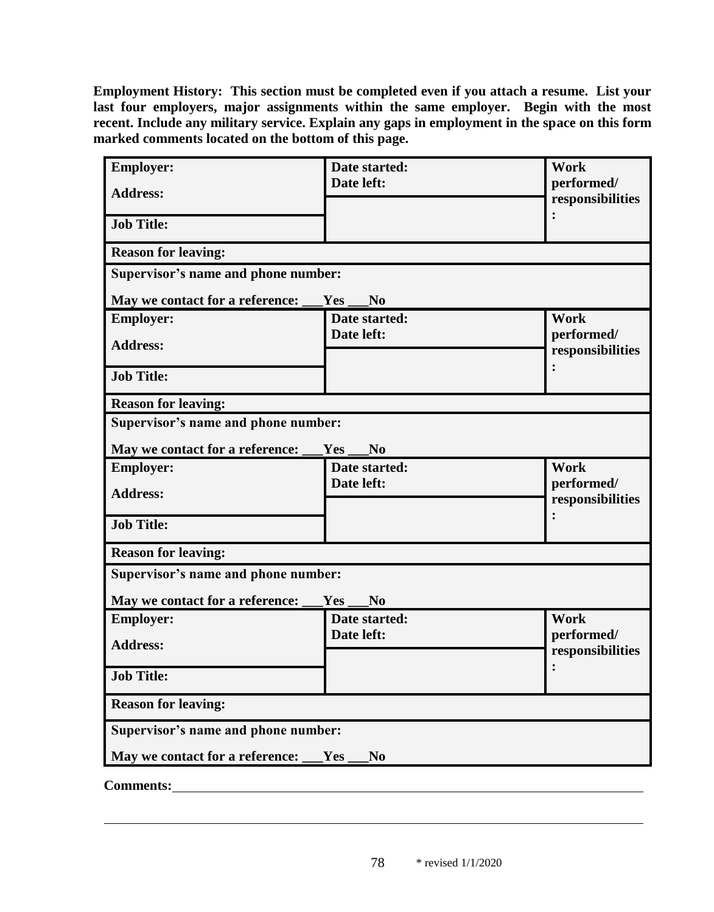**Employment History: This section must be completed even if you attach a resume. List your**  last four employers, major assignments within the same employer. Begin with the most **recent. Include any military service. Explain any gaps in employment in the space on this form marked comments located on the bottom of this page.**

| <b>Employer:</b>                    | Date started:<br>Date left: | Work<br>performed/             |  |
|-------------------------------------|-----------------------------|--------------------------------|--|
| <b>Address:</b>                     |                             | responsibilities               |  |
| <b>Job Title:</b>                   |                             |                                |  |
| <b>Reason for leaving:</b>          |                             |                                |  |
| Supervisor's name and phone number: |                             |                                |  |
| May we contact for a reference:     | Yes<br>N <sub>0</sub>       |                                |  |
| <b>Employer:</b>                    | Date started:               | Work                           |  |
| <b>Address:</b>                     | Date left:                  | performed/<br>responsibilities |  |
| <b>Job Title:</b>                   |                             |                                |  |
| <b>Reason for leaving:</b>          |                             |                                |  |
| Supervisor's name and phone number: |                             |                                |  |
| May we contact for a reference:     | Yes<br>N <sub>0</sub>       |                                |  |
| <b>Employer:</b>                    | Date started:               | Work                           |  |
| <b>Address:</b>                     | Date left:                  | performed/<br>responsibilities |  |
| <b>Job Title:</b>                   |                             |                                |  |
| <b>Reason for leaving:</b>          |                             |                                |  |
| Supervisor's name and phone number: |                             |                                |  |
| May we contact for a reference:     | Yes<br>N <sub>0</sub>       |                                |  |
| <b>Employer:</b>                    | Date started:               | Work                           |  |
| <b>Address:</b>                     | Date left:                  | performed/<br>responsibilities |  |
| <b>Job Title:</b>                   |                             | $\ddot{\cdot}$                 |  |
| <b>Reason for leaving:</b>          |                             |                                |  |
| Supervisor's name and phone number: |                             |                                |  |
| May we contact for a reference:     | N <sub>0</sub><br>Yes       |                                |  |
| <b>Comments:</b>                    |                             |                                |  |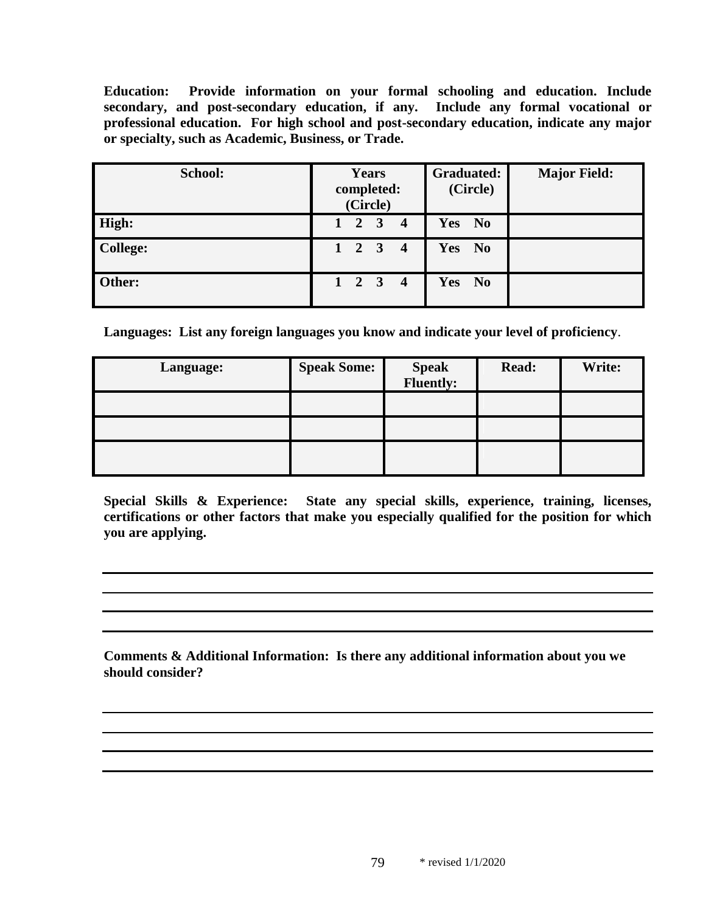**Education: Provide information on your formal schooling and education. Include secondary, and post-secondary education, if any. Include any formal vocational or professional education. For high school and post-secondary education, indicate any major or specialty, such as Academic, Business, or Trade.**

| School:         | <b>Years</b><br>completed:<br>(Circle) | <b>Graduated:</b><br>(Circle) | <b>Major Field:</b> |
|-----------------|----------------------------------------|-------------------------------|---------------------|
| High:           | $2 \quad 3$<br>$\overline{4}$          | Yes No                        |                     |
| <b>College:</b> | $1 \quad 2 \quad 3 \quad 4$            | Yes No                        |                     |
| Other:          | $1 \quad 2 \quad 3 \quad 4$            | Yes No                        |                     |

**Languages: List any foreign languages you know and indicate your level of proficiency**.

| Language: | <b>Speak Some:</b> | Speak<br>Fluently: | Read: | Write: |
|-----------|--------------------|--------------------|-------|--------|
|           |                    |                    |       |        |
|           |                    |                    |       |        |
|           |                    |                    |       |        |

**Special Skills & Experience: State any special skills, experience, training, licenses, certifications or other factors that make you especially qualified for the position for which you are applying.**

**Comments & Additional Information: Is there any additional information about you we should consider?**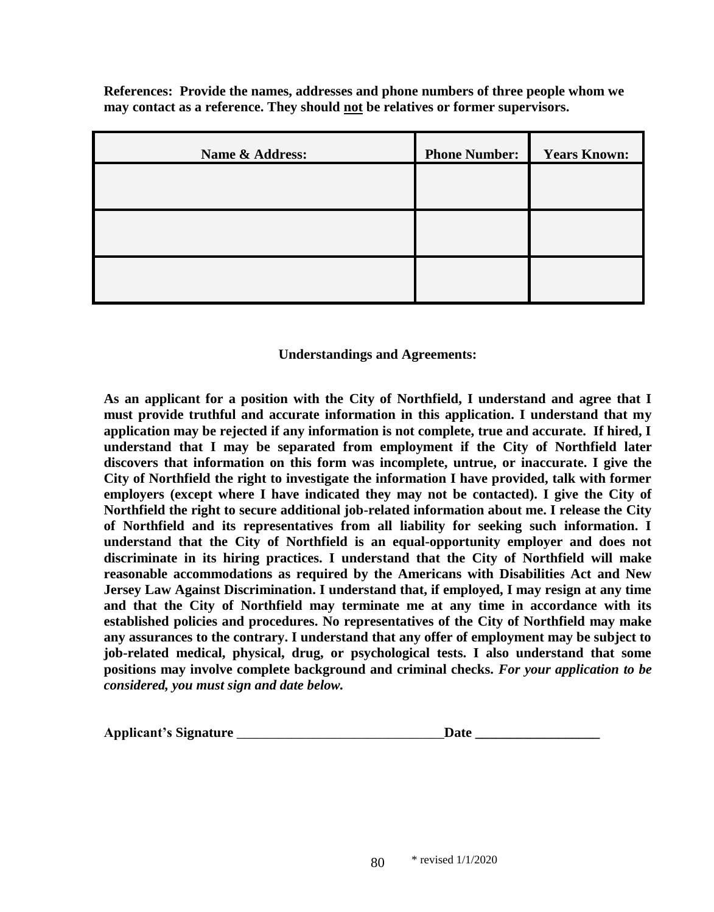**References: Provide the names, addresses and phone numbers of three people whom we may contact as a reference. They should not be relatives or former supervisors.**

| Name & Address: | <b>Phone Number:</b> | <b>Years Known:</b> |
|-----------------|----------------------|---------------------|
|                 |                      |                     |
|                 |                      |                     |
|                 |                      |                     |
|                 |                      |                     |
|                 |                      |                     |
|                 |                      |                     |

#### **Understandings and Agreements:**

**As an applicant for a position with the City of Northfield, I understand and agree that I must provide truthful and accurate information in this application. I understand that my application may be rejected if any information is not complete, true and accurate. If hired, I understand that I may be separated from employment if the City of Northfield later discovers that information on this form was incomplete, untrue, or inaccurate. I give the City of Northfield the right to investigate the information I have provided, talk with former employers (except where I have indicated they may not be contacted). I give the City of Northfield the right to secure additional job-related information about me. I release the City of Northfield and its representatives from all liability for seeking such information. I understand that the City of Northfield is an equal-opportunity employer and does not discriminate in its hiring practices. I understand that the City of Northfield will make reasonable accommodations as required by the Americans with Disabilities Act and New Jersey Law Against Discrimination. I understand that, if employed, I may resign at any time and that the City of Northfield may terminate me at any time in accordance with its established policies and procedures. No representatives of the City of Northfield may make any assurances to the contrary. I understand that any offer of employment may be subject to job-related medical, physical, drug, or psychological tests. I also understand that some positions may involve complete background and criminal checks.** *For your application to be considered, you must sign and date below.*

| <b>Applicant's Signature</b> | Date |
|------------------------------|------|
|                              |      |